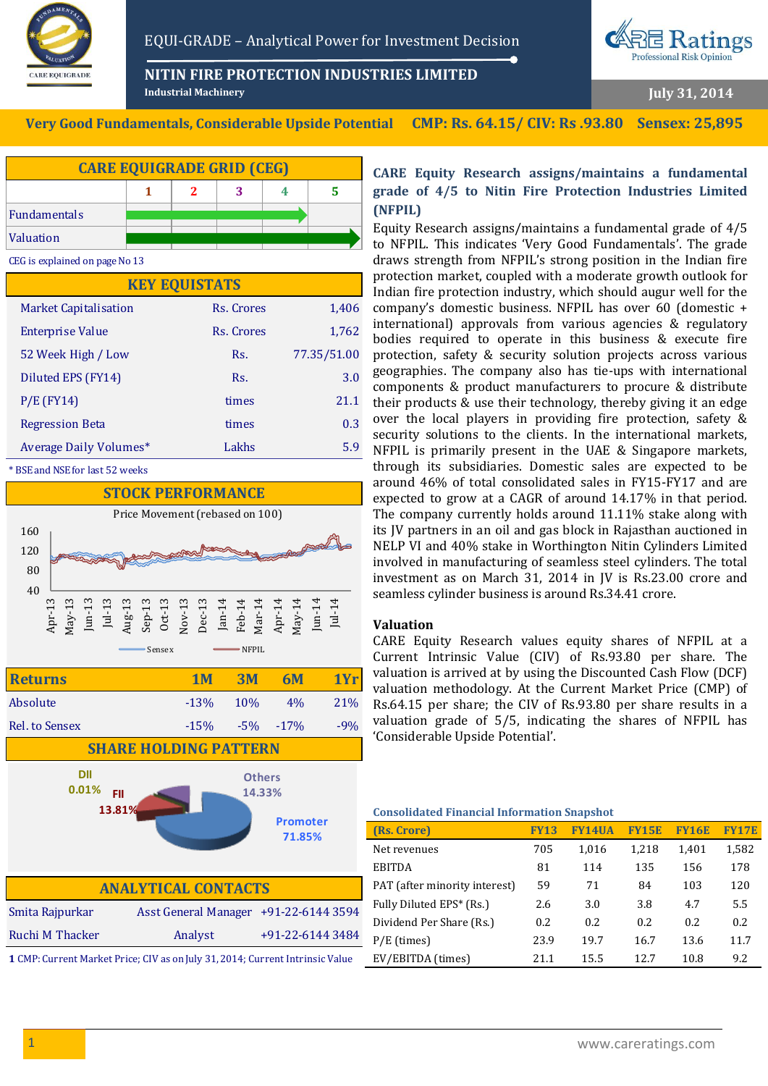

EQUI-GRADE – Analytical Power for Investment Decision

**NITIN FIRE PROTECTION INDUSTRIES LIMITED**



**July 31, 2014**

**Very Good Fundamentals, Considerable Upside Potential CMP: Rs. 64.15/ CIV: Rs .93.80 Sensex: 25,895**

**Industrial Machinery**



CEG is explained on page No 13

| <b>KEY EQUISTATS</b>         |            |             |  |  |
|------------------------------|------------|-------------|--|--|
| <b>Market Capitalisation</b> | Rs. Crores | 1,406       |  |  |
| <b>Enterprise Value</b>      | Rs. Crores | 1,762       |  |  |
| 52 Week High / Low           | Rs.        | 77.35/51.00 |  |  |
| Diluted EPS (FY14)           | Rs.        | 3.0         |  |  |
| $P/E$ (FY14)                 | times      | 21.1        |  |  |
| <b>Regression Beta</b>       | times      | 0.3         |  |  |
| Average Daily Volumes*       | Lakhs      | 5.9         |  |  |

BSE and NSE for last 52 weeks



Ruchi M Thacker Analyst +91-22-6144 3484 **1** CMP: Current Market Price; CIV as on July 31, 2014; Current Intrinsic Value

## **CARE Equity Research assigns/maintains a fundamental grade of 4/5 to Nitin Fire Protection Industries Limited (NFPIL)**

Equity Research assigns/maintains a fundamental grade of 4/5 to NFPIL. This indicates 'Very Good Fundamentals'. The grade draws strength from NFPIL's strong position in the Indian fire protection market, coupled with a moderate growth outlook for Indian fire protection industry, which should augur well for the company's domestic business. NFPIL has over 60 (domestic + international) approvals from various agencies & regulatory bodies required to operate in this business & execute fire protection, safety & security solution projects across various geographies. The company also has tie-ups with international components & product manufacturers to procure & distribute their products & use their technology, thereby giving it an edge over the local players in providing fire protection, safety & security solutions to the clients. In the international markets, NFPIL is primarily present in the UAE & Singapore markets, through its subsidiaries. Domestic sales are expected to be around 46% of total consolidated sales in FY15-FY17 and are expected to grow at a CAGR of around 14.17% in that period. The company currently holds around 11.11% stake along with its JV partners in an oil and gas block in Rajasthan auctioned in NELP VI and 40% stake in Worthington Nitin Cylinders Limited involved in manufacturing of seamless steel cylinders. The total investment as on March 31, 2014 in JV is Rs.23.00 crore and seamless cylinder business is around Rs.34.41 crore.

## **Valuation**

CARE Equity Research values equity shares of NFPIL at a Current Intrinsic Value (CIV) of Rs.93.80 per share. The valuation is arrived at by using the Discounted Cash Flow (DCF) valuation methodology. At the Current Market Price (CMP) of Rs.64.15 per share; the CIV of Rs.93.80 per share results in a valuation grade of 5/5, indicating the shares of NFPIL has 'Considerable Upside Potential'.

#### **Consolidated Financial Information Snapshot**

| (Rs. Crore)                   | <b>FY13</b> | FY14IJA | <b>FY15E</b> | <b>FY16E</b> | <b>FY17E</b> |
|-------------------------------|-------------|---------|--------------|--------------|--------------|
| Net revenues                  | 705         | 1.016   | 1.218        | 1,401        | 1,582        |
| <b>EBITDA</b>                 | 81          | 114     | 135          | 156          | 178          |
| PAT (after minority interest) | 59          | 71      | 84           | 103          | 120          |
| Fully Diluted EPS* (Rs.)      | 2.6         | 3.0     | 3.8          | 4.7          | 5.5          |
| Dividend Per Share (Rs.)      | 0.2         | 0.2     | 0.2.         | 0.2          | 0.2          |
| $P/E$ (times)                 | 23.9        | 19.7    | 16.7         | 13.6         | 11.7         |
| EV/EBITDA (times)             | 21.1        | 15.5    | 12.7         | 10.8         | 9.2          |
|                               |             |         |              |              |              |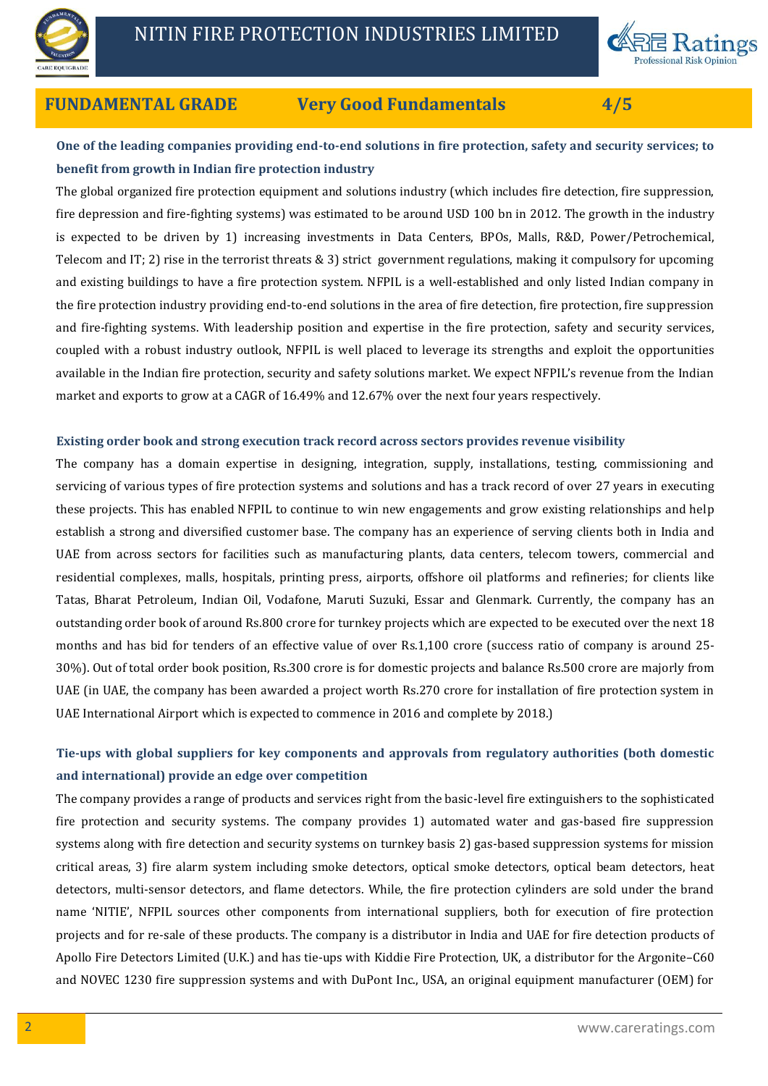



# **FUNDAMENTAL GRADE Very Good Fundamentals 4/5**

# **One of the leading companies providing end-to-end solutions in fire protection, safety and security services; to benefit from growth in Indian fire protection industry**

The global organized fire protection equipment and solutions industry (which includes fire detection, fire suppression, fire depression and fire-fighting systems) was estimated to be around USD 100 bn in 2012. The growth in the industry is expected to be driven by 1) increasing investments in Data Centers, BPOs, Malls, R&D, Power/Petrochemical, Telecom and IT; 2) rise in the terrorist threats  $\& 3$  strict government regulations, making it compulsory for upcoming and existing buildings to have a fire protection system. NFPIL is a well-established and only listed Indian company in the fire protection industry providing end-to-end solutions in the area of fire detection, fire protection, fire suppression and fire-fighting systems. With leadership position and expertise in the fire protection, safety and security services, coupled with a robust industry outlook, NFPIL is well placed to leverage its strengths and exploit the opportunities available in the Indian fire protection, security and safety solutions market. We expect NFPIL's revenue from the Indian market and exports to grow at a CAGR of 16.49% and 12.67% over the next four years respectively.

## **Existing order book and strong execution track record across sectors provides revenue visibility**

The company has a domain expertise in designing, integration, supply, installations, testing, commissioning and servicing of various types of fire protection systems and solutions and has a track record of over 27 years in executing these projects. This has enabled NFPIL to continue to win new engagements and grow existing relationships and help establish a strong and diversified customer base. The company has an experience of serving clients both in India and UAE from across sectors for facilities such as manufacturing plants, data centers, telecom towers, commercial and residential complexes, malls, hospitals, printing press, airports, offshore oil platforms and refineries; for clients like Tatas, Bharat Petroleum, Indian Oil, Vodafone, Maruti Suzuki, Essar and Glenmark. Currently, the company has an outstanding order book of around Rs.800 crore for turnkey projects which are expected to be executed over the next 18 months and has bid for tenders of an effective value of over Rs.1,100 crore (success ratio of company is around 25- 30%). Out of total order book position, Rs.300 crore is for domestic projects and balance Rs.500 crore are majorly from UAE (in UAE, the company has been awarded a project worth Rs.270 crore for installation of fire protection system in UAE International Airport which is expected to commence in 2016 and complete by 2018.)

# **Tie-ups with global suppliers for key components and approvals from regulatory authorities (both domestic and international) provide an edge over competition**

The company provides a range of products and services right from the basic-level fire extinguishers to the sophisticated fire protection and security systems. The company provides 1) automated water and gas-based fire suppression systems along with fire detection and security systems on turnkey basis 2) gas-based suppression systems for mission critical areas, 3) fire alarm system including smoke detectors, optical smoke detectors, optical beam detectors, heat detectors, multi-sensor detectors, and flame detectors. While, the fire protection cylinders are sold under the brand name 'NITIE', NFPIL sources other components from international suppliers, both for execution of fire protection projects and for re-sale of these products. The company is a distributor in India and UAE for fire detection products of Apollo Fire Detectors Limited (U.K.) and has tie-ups with Kiddie Fire Protection, UK, a distributor for the Argonite–C60 and NOVEC 1230 fire suppression systems and with DuPont Inc., USA, an original equipment manufacturer (OEM) for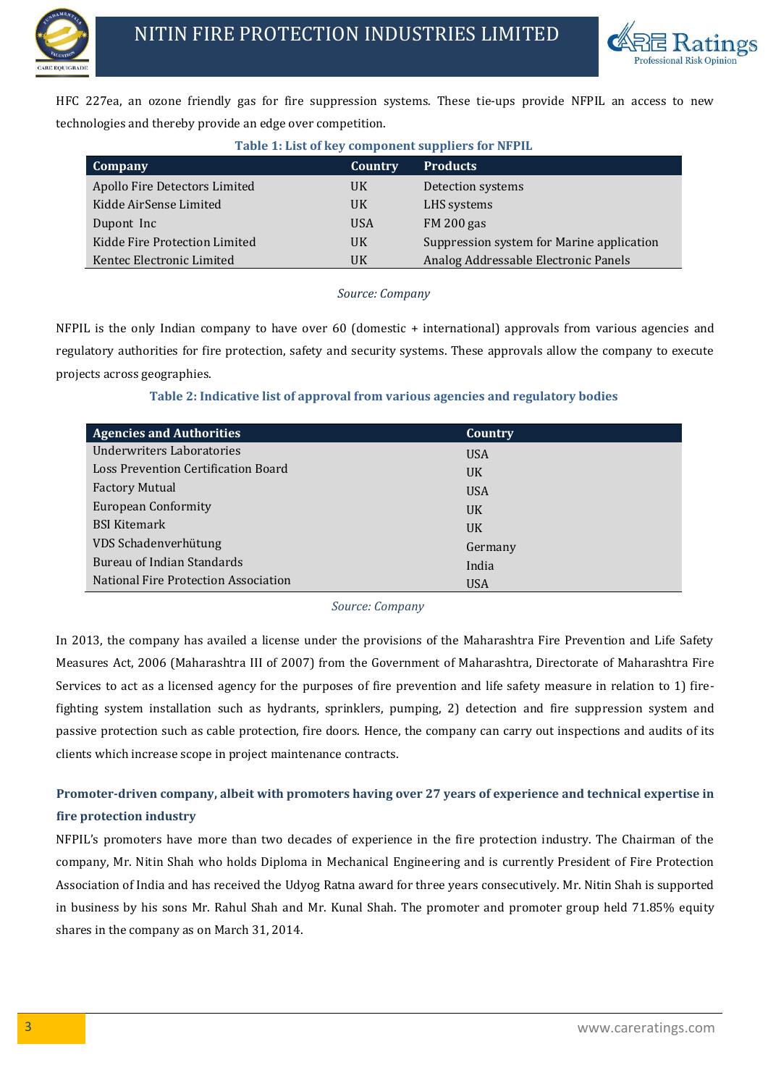



HFC 227ea, an ozone friendly gas for fire suppression systems. These tie-ups provide NFPIL an access to new technologies and thereby provide an edge over competition.

| Table 1: List of key component suppliers for NFPIL |            |                                           |  |  |  |
|----------------------------------------------------|------------|-------------------------------------------|--|--|--|
| <b>Company</b>                                     | Country    | <b>Products</b>                           |  |  |  |
| Apollo Fire Detectors Limited                      | UK         | Detection systems                         |  |  |  |
| Kidde AirSense Limited                             | UK         | LHS systems                               |  |  |  |
| Dupont Inc                                         | <b>USA</b> | FM 200 gas                                |  |  |  |
| Kidde Fire Protection Limited                      | UK         | Suppression system for Marine application |  |  |  |
| Kentec Electronic Limited                          | UK         | Analog Addressable Electronic Panels      |  |  |  |

## **Table 1: List of key component suppliers for NFPIL**

## *Source: Company*

NFPIL is the only Indian company to have over 60 (domestic + international) approvals from various agencies and regulatory authorities for fire protection, safety and security systems. These approvals allow the company to execute projects across geographies.

| <b>Agencies and Authorities</b>      | Country    |
|--------------------------------------|------------|
| Underwriters Laboratories            | <b>USA</b> |
| Loss Prevention Certification Board  | <b>UK</b>  |
| <b>Factory Mutual</b>                | <b>USA</b> |
| <b>European Conformity</b>           | <b>UK</b>  |
| <b>BSI Kitemark</b>                  | <b>UK</b>  |
| VDS Schadenverhütung                 | Germany    |
| Bureau of Indian Standards           | India      |
| National Fire Protection Association | <b>USA</b> |

## **Table 2: Indicative list of approval from various agencies and regulatory bodies**

## *Source: Company*

In 2013, the company has availed a license under the provisions of the Maharashtra Fire Prevention and Life Safety Measures Act, 2006 (Maharashtra III of 2007) from the Government of Maharashtra, Directorate of Maharashtra Fire Services to act as a licensed agency for the purposes of fire prevention and life safety measure in relation to 1) firefighting system installation such as hydrants, sprinklers, pumping, 2) detection and fire suppression system and passive protection such as cable protection, fire doors. Hence, the company can carry out inspections and audits of its clients which increase scope in project maintenance contracts.

# **Promoter-driven company, albeit with promoters having over 27 years of experience and technical expertise in fire protection industry**

NFPIL's promoters have more than two decades of experience in the fire protection industry. The Chairman of the company, Mr. Nitin Shah who holds Diploma in Mechanical Engineering and is currently President of Fire Protection Association of India and has received the Udyog Ratna award for three years consecutively. Mr. Nitin Shah is supported in business by his sons Mr. Rahul Shah and Mr. Kunal Shah. The promoter and promoter group held 71.85% equity shares in the company as on March 31, 2014.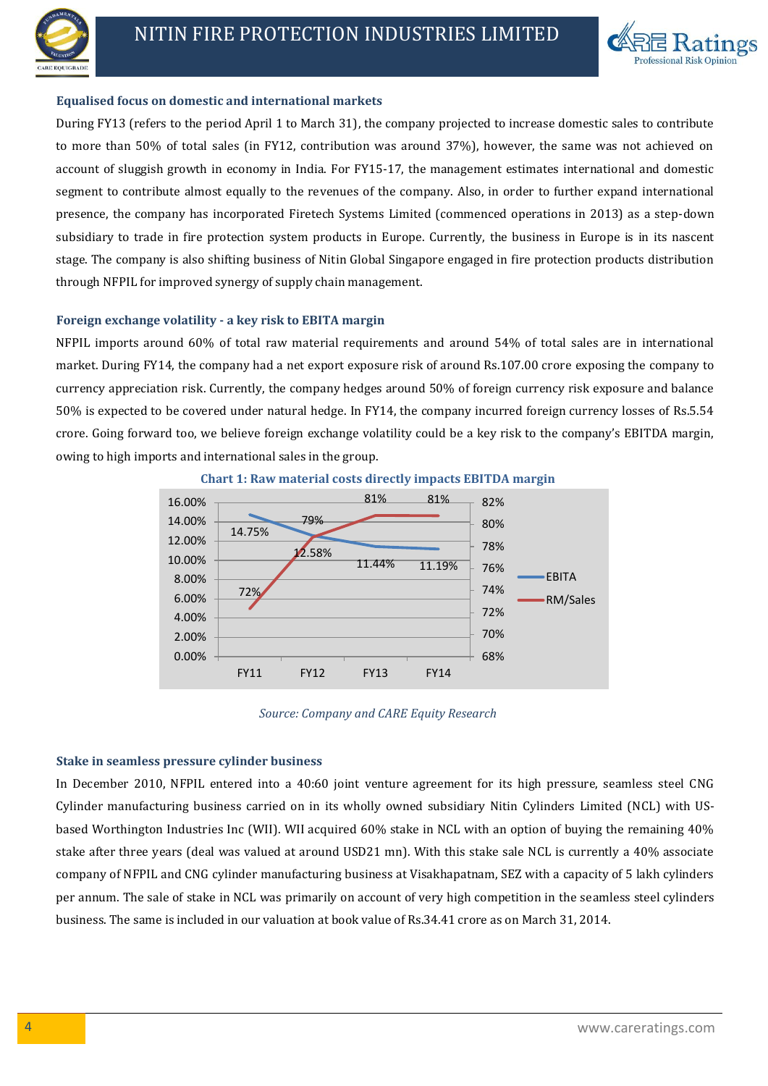



#### **Equalised focus on domestic and international markets**

During FY13 (refers to the period April 1 to March 31), the company projected to increase domestic sales to contribute to more than 50% of total sales (in FY12, contribution was around 37%), however, the same was not achieved on account of sluggish growth in economy in India. For FY15-17, the management estimates international and domestic segment to contribute almost equally to the revenues of the company. Also, in order to further expand international presence, the company has incorporated Firetech Systems Limited (commenced operations in 2013) as a step-down subsidiary to trade in fire protection system products in Europe. Currently, the business in Europe is in its nascent stage. The company is also shifting business of Nitin Global Singapore engaged in fire protection products distribution through NFPIL for improved synergy of supply chain management.

#### **Foreign exchange volatility - a key risk to EBITA margin**

NFPIL imports around 60% of total raw material requirements and around 54% of total sales are in international market. During FY14, the company had a net export exposure risk of around Rs.107.00 crore exposing the company to currency appreciation risk. Currently, the company hedges around 50% of foreign currency risk exposure and balance 50% is expected to be covered under natural hedge. In FY14, the company incurred foreign currency losses of Rs.5.54 crore. Going forward too, we believe foreign exchange volatility could be a key risk to the company's EBITDA margin, owing to high imports and international sales in the group.







#### **Stake in seamless pressure cylinder business**

In December 2010, NFPIL entered into a 40:60 joint venture agreement for its high pressure, seamless steel CNG Cylinder manufacturing business carried on in its wholly owned subsidiary Nitin Cylinders Limited (NCL) with USbased Worthington Industries Inc (WII). WII acquired 60% stake in NCL with an option of buying the remaining 40% stake after three years (deal was valued at around USD21 mn). With this stake sale NCL is currently a 40% associate company of NFPIL and CNG cylinder manufacturing business at Visakhapatnam, SEZ with a capacity of 5 lakh cylinders per annum. The sale of stake in NCL was primarily on account of very high competition in the seamless steel cylinders business. The same is included in our valuation at book value of Rs.34.41 crore as on March 31, 2014.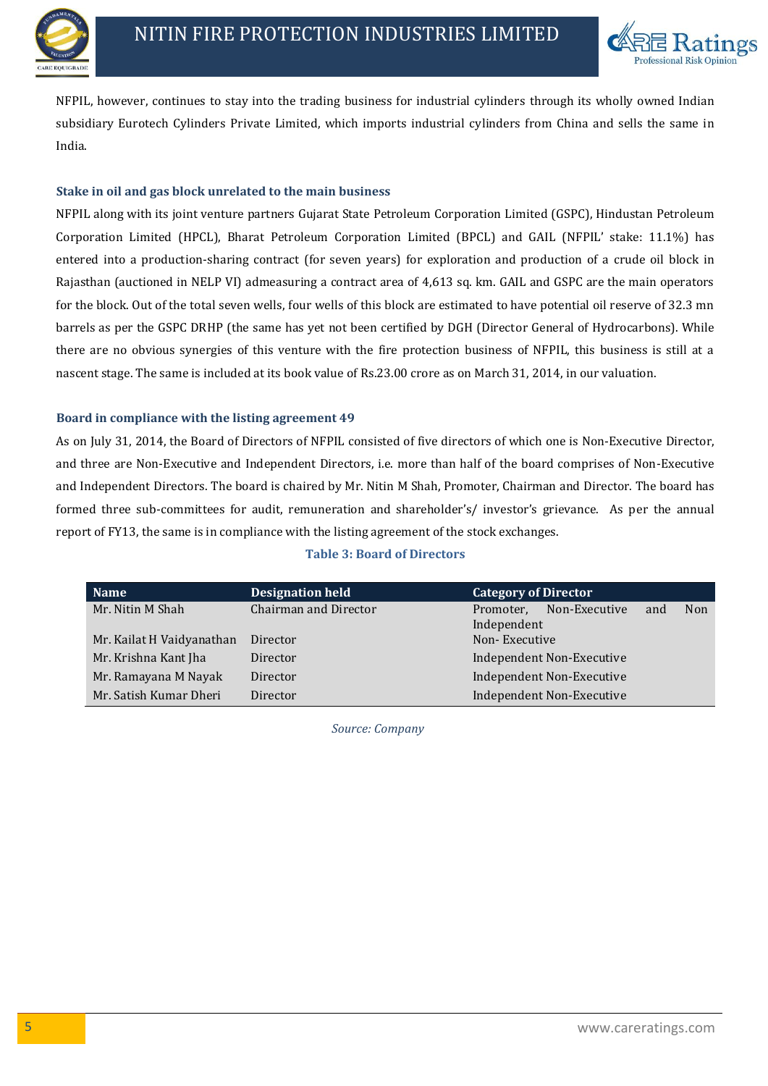



NFPIL, however, continues to stay into the trading business for industrial cylinders through its wholly owned Indian subsidiary Eurotech Cylinders Private Limited, which imports industrial cylinders from China and sells the same in India.

## **Stake in oil and gas block unrelated to the main business**

NFPIL along with its joint venture partners Gujarat State Petroleum Corporation Limited (GSPC), Hindustan Petroleum Corporation Limited (HPCL), Bharat Petroleum Corporation Limited (BPCL) and GAIL (NFPIL' stake: 11.1%) has entered into a production-sharing contract (for seven years) for exploration and production of a crude oil block in Rajasthan (auctioned in NELP VI) admeasuring a contract area of 4,613 sq. km. GAIL and GSPC are the main operators for the block. Out of the total seven wells, four wells of this block are estimated to have potential oil reserve of 32.3 mn barrels as per the GSPC DRHP (the same has yet not been certified by DGH (Director General of Hydrocarbons). While there are no obvious synergies of this venture with the fire protection business of NFPIL, this business is still at a nascent stage. The same is included at its book value of Rs.23.00 crore as on March 31, 2014, in our valuation.

## **Board in compliance with the listing agreement 49**

As on July 31, 2014, the Board of Directors of NFPIL consisted of five directors of which one is Non-Executive Director, and three are Non-Executive and Independent Directors, i.e. more than half of the board comprises of Non-Executive and Independent Directors. The board is chaired by Mr. Nitin M Shah, Promoter, Chairman and Director. The board has formed three sub-committees for audit, remuneration and shareholder's/ investor's grievance. As per the annual report of FY13, the same is in compliance with the listing agreement of the stock exchanges.

| <b>Name</b>               | <b>Designation held</b> | <b>Category of Director</b>              |
|---------------------------|-------------------------|------------------------------------------|
| Mr. Nitin M Shah          | Chairman and Director   | Non-Executive<br>Non<br>Promoter,<br>and |
|                           |                         | Independent                              |
| Mr. Kailat H Vaidyanathan | Director                | Non-Executive                            |
| Mr. Krishna Kant Jha      | Director                | Independent Non-Executive                |
| Mr. Ramayana M Nayak      | Director                | Independent Non-Executive                |
| Mr. Satish Kumar Dheri    | Director                | Independent Non-Executive                |

## **Table 3: Board of Directors**

*Source: Company*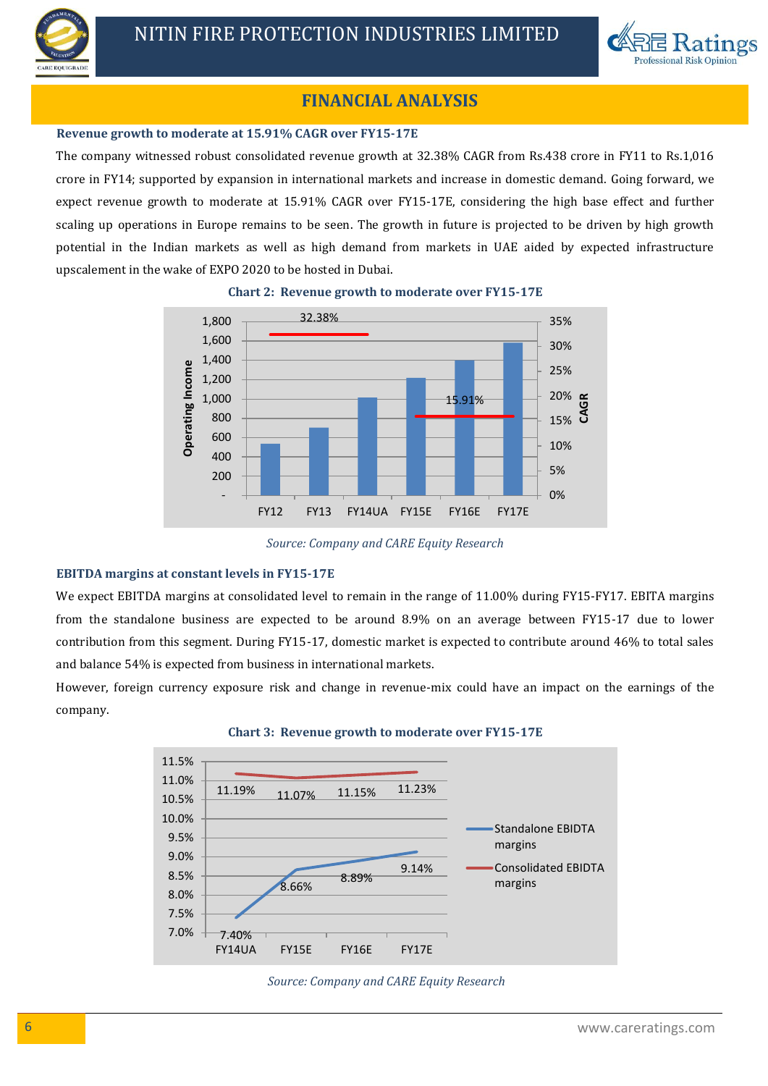



# **FINANCIAL ANALYSIS**

#### **Revenue growth to moderate at 15.91% CAGR over FY15-17E**

The company witnessed robust consolidated revenue growth at 32.38% CAGR from Rs.438 crore in FY11 to Rs.1,016 crore in FY14; supported by expansion in international markets and increase in domestic demand. Going forward, we expect revenue growth to moderate at 15.91% CAGR over FY15-17E, considering the high base effect and further scaling up operations in Europe remains to be seen. The growth in future is projected to be driven by high growth potential in the Indian markets as well as high demand from markets in UAE aided by expected infrastructure upscalement in the wake of EXPO 2020 to be hosted in Dubai.



**Chart 2: Revenue growth to moderate over FY15-17E**

*Source: Company and CARE Equity Research*

## **EBITDA margins at constant levels in FY15-17E**

We expect EBITDA margins at consolidated level to remain in the range of 11.00% during FY15-FY17. EBITA margins from the standalone business are expected to be around 8.9% on an average between FY15-17 due to lower contribution from this segment. During FY15-17, domestic market is expected to contribute around 46% to total sales and balance 54% is expected from business in international markets.

However, foreign currency exposure risk and change in revenue-mix could have an impact on the earnings of the company.





*Source: Company and CARE Equity Research*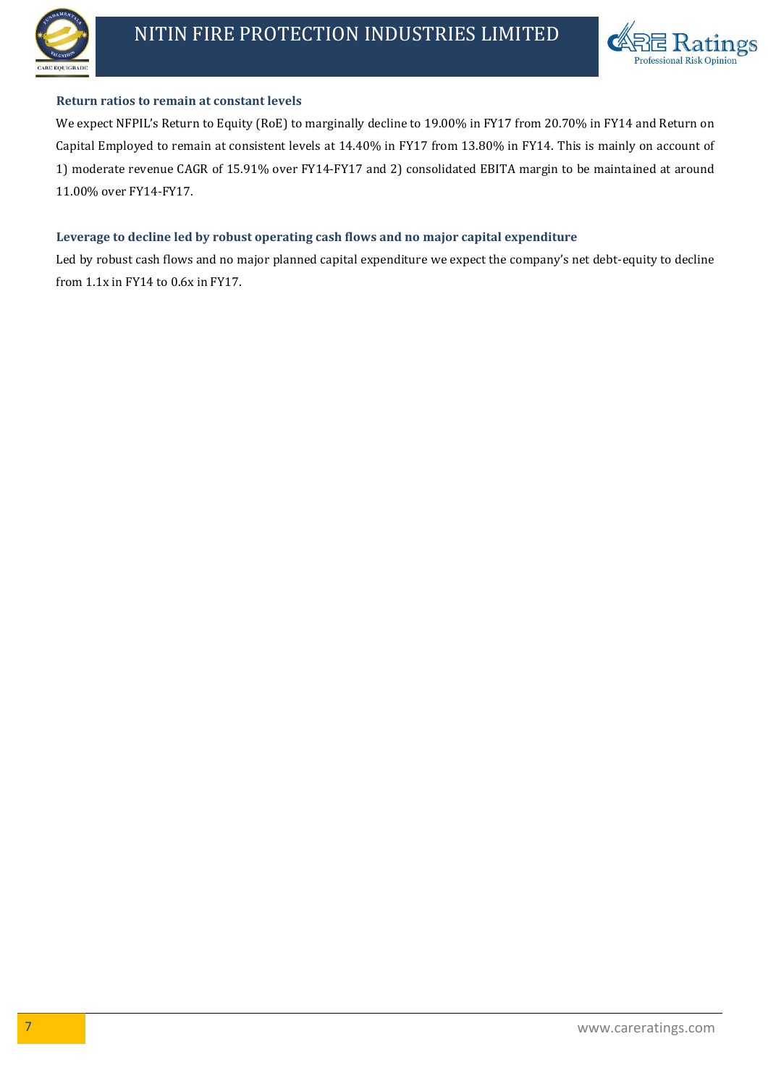



## **Return ratios to remain at constant levels**

We expect NFPIL's Return to Equity (RoE) to marginally decline to 19.00% in FY17 from 20.70% in FY14 and Return on Capital Employed to remain at consistent levels at 14.40% in FY17 from 13.80% in FY14. This is mainly on account of 1) moderate revenue CAGR of 15.91% over FY14-FY17 and 2) consolidated EBITA margin to be maintained at around 11.00% over FY14-FY17.

## **Leverage to decline led by robust operating cash flows and no major capital expenditure**

Led by robust cash flows and no major planned capital expenditure we expect the company's net debt-equity to decline from 1.1x in FY14 to 0.6x in FY17.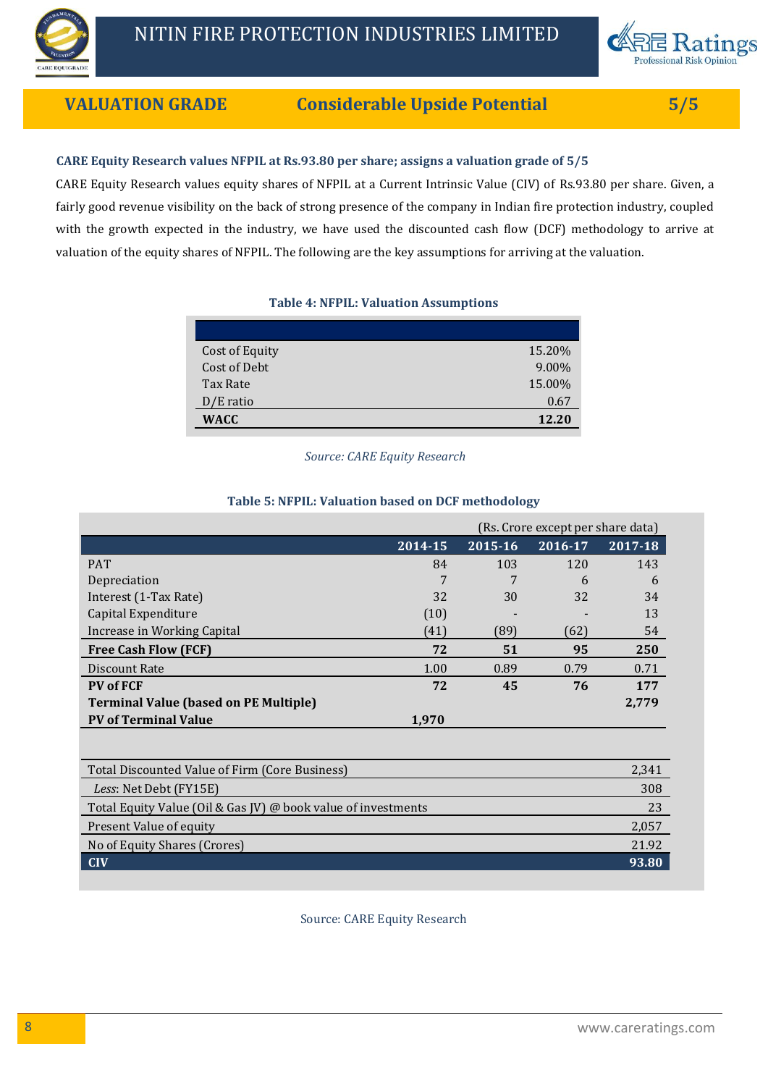



# **VALUATION GRADE Considerable Upside Potential 5/5**

## **CARE Equity Research values NFPIL at Rs.93.80 per share; assigns a valuation grade of 5/5**

CARE Equity Research values equity shares of NFPIL at a Current Intrinsic Value (CIV) of Rs.93.80 per share. Given, a fairly good revenue visibility on the back of strong presence of the company in Indian fire protection industry, coupled with the growth expected in the industry, we have used the discounted cash flow (DCF) methodology to arrive at valuation of the equity shares of NFPIL. The following are the key assumptions for arriving at the valuation.

## **Table 4: NFPIL: Valuation Assumptions**

| Cost of Equity | 15.20% |
|----------------|--------|
| Cost of Debt   | 9.00%  |
| Tax Rate       | 15.00% |
| $D/E$ ratio    | 0.67   |
| WACC           | 12.20  |

*Source: CARE Equity Research*

## (Rs. Crore except per share data) **2014-15 2015-16 2016-17 2017-18** PAT 84 103 120 143 Depreciation 7 7 6 6 Interest (1-Tax Rate) 32 30 32 34 Capital Expenditure **Capital Expenditure** (10)  $\qquad \qquad$  13 Increase in Working Capital (41) (89) (62) 54 **Free Cash Flow (FCF) 72 51 95 250** Discount Rate 1.00 0.89 0.79 0.71 **PV of FCF 72 45 76 177 Terminal Value (based on PE Multiple) 2,779 PV of Terminal Value 1,970**

#### **Table 5: NFPIL: Valuation based on DCF methodology**

| Total Discounted Value of Firm (Core Business)                | 2.341 |
|---------------------------------------------------------------|-------|
| Less: Net Debt (FY15E)                                        | 308   |
| Total Equity Value (Oil & Gas JV) @ book value of investments | 23    |
| Present Value of equity                                       | 2,057 |
| No of Equity Shares (Crores)                                  | 21.92 |
| <b>CIV</b>                                                    | 93.80 |

Source: CARE Equity Research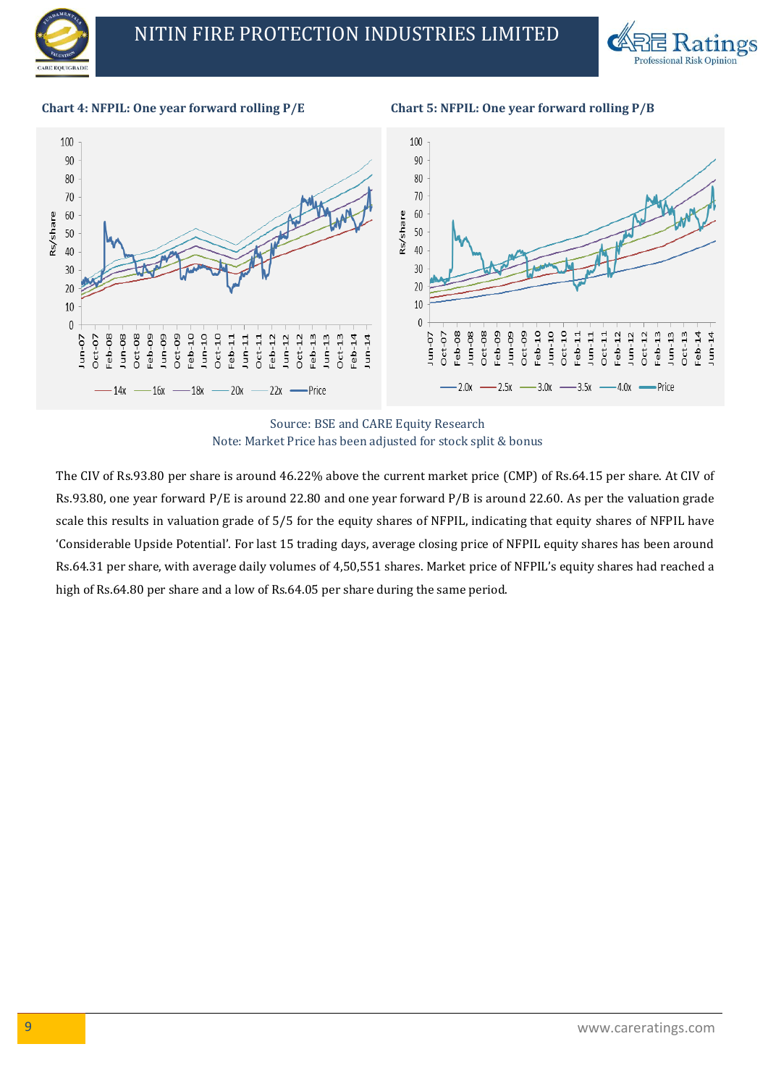



**Chart 4: NFPIL: One year forward rolling P/E Chart 5: NFPIL: One year forward rolling P/B**



Source: BSE and CARE Equity Research Note: Market Price has been adjusted for stock split & bonus

The CIV of Rs.93.80 per share is around 46.22% above the current market price (CMP) of Rs.64.15 per share. At CIV of Rs.93.80, one year forward P/E is around 22.80 and one year forward P/B is around 22.60. As per the valuation grade scale this results in valuation grade of 5/5 for the equity shares of NFPIL, indicating that equity shares of NFPIL have 'Considerable Upside Potential'. For last 15 trading days, average closing price of NFPIL equity shares has been around Rs.64.31 per share, with average daily volumes of 4,50,551 shares. Market price of NFPIL's equity shares had reached a high of Rs.64.80 per share and a low of Rs.64.05 per share during the same period.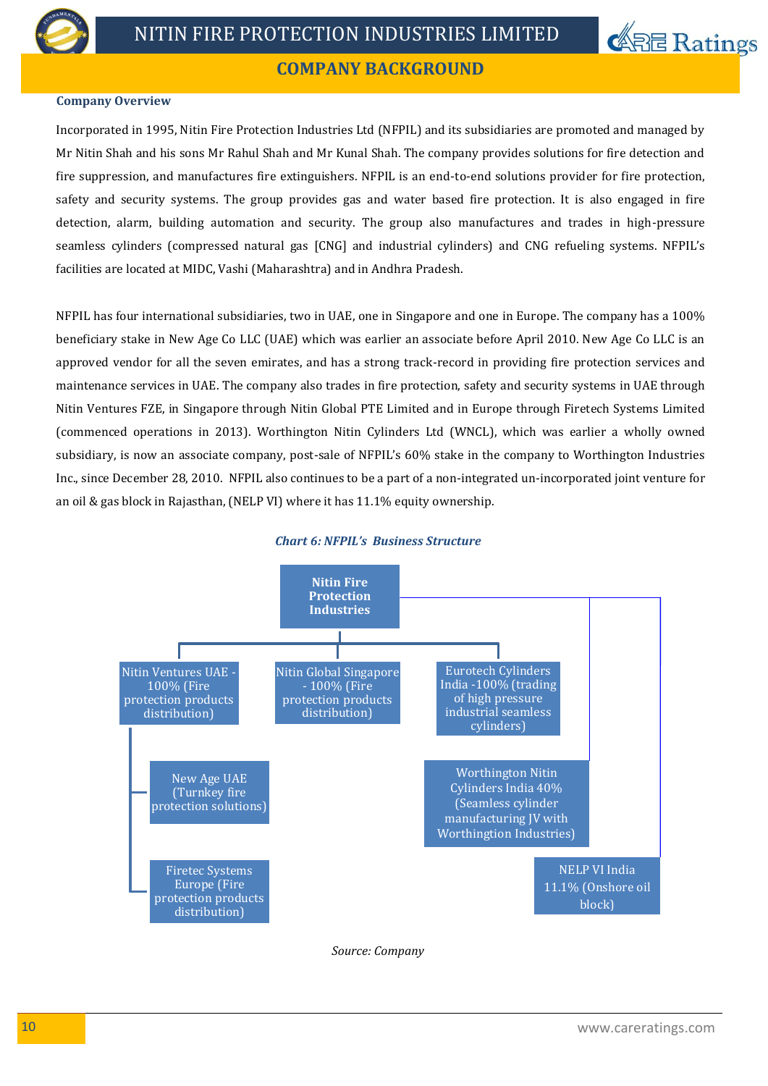



# **COMPANY BACKGROUND**

#### **Company Overview**

Incorporated in 1995, Nitin Fire Protection Industries Ltd (NFPIL) and its subsidiaries are promoted and managed by Mr Nitin Shah and his sons Mr Rahul Shah and Mr Kunal Shah. The company provides solutions for fire detection and fire suppression, and manufactures fire extinguishers. NFPIL is an end-to-end solutions provider for fire protection, safety and security systems. The group provides gas and water based fire protection. It is also engaged in fire detection, alarm, building automation and security. The group also manufactures and trades in high-pressure seamless cylinders (compressed natural gas [CNG] and industrial cylinders) and CNG refueling systems. NFPIL's facilities are located at MIDC, Vashi (Maharashtra) and in Andhra Pradesh.

NFPIL has four international subsidiaries, two in UAE, one in Singapore and one in Europe. The company has a 100% beneficiary stake in New Age Co LLC (UAE) which was earlier an associate before April 2010. New Age Co LLC is an approved vendor for all the seven emirates, and has a strong track-record in providing fire protection services and maintenance services in UAE. The company also trades in fire protection, safety and security systems in UAE through Nitin Ventures FZE, in Singapore through Nitin Global PTE Limited and in Europe through Firetech Systems Limited (commenced operations in 2013). Worthington Nitin Cylinders Ltd (WNCL), which was earlier a wholly owned subsidiary, is now an associate company, post-sale of NFPIL's 60% stake in the company to Worthington Industries Inc., since December 28, 2010. NFPIL also continues to be a part of a non-integrated un-incorporated joint venture for an oil & gas block in Rajasthan, (NELP VI) where it has 11.1% equity ownership.



#### *Chart 6: NFPIL's Business Structure*

*Source: Company*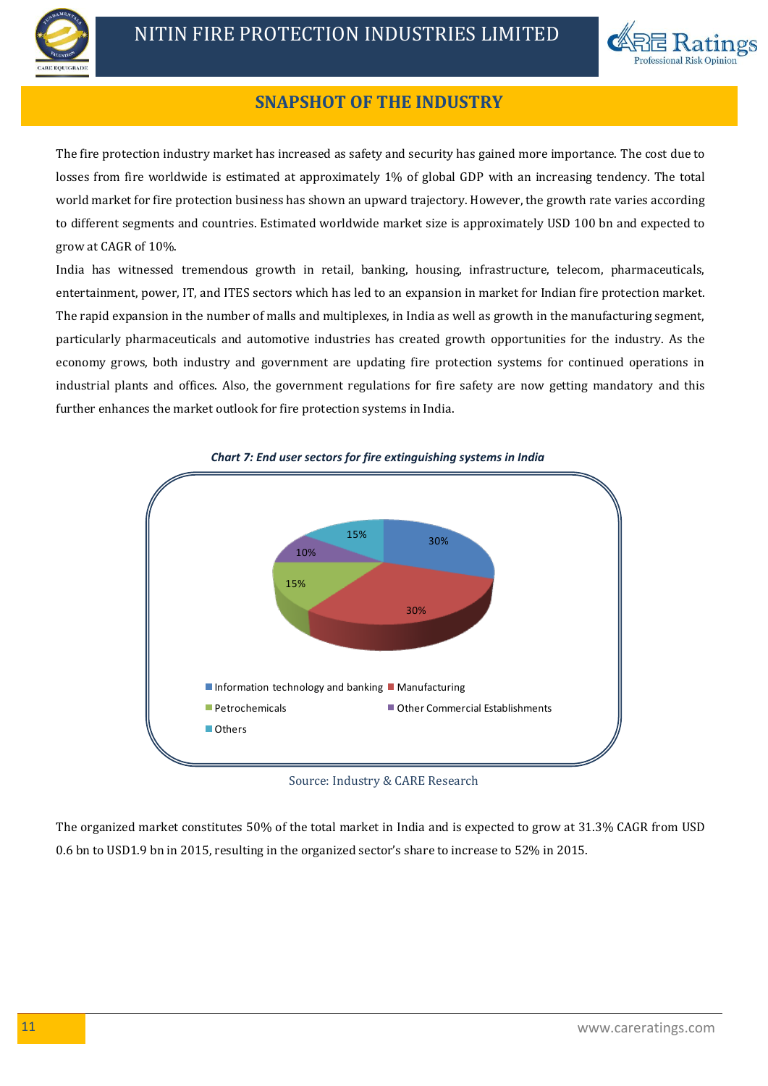



# **SNAPSHOT OF THE INDUSTRY**

The fire protection industry market has increased as safety and security has gained more importance. The cost due to losses from fire worldwide is estimated at approximately 1% of global GDP with an increasing tendency. The total world market for fire protection business has shown an upward trajectory. However, the growth rate varies according to different segments and countries. Estimated worldwide market size is approximately USD 100 bn and expected to grow at CAGR of 10%.

India has witnessed tremendous growth in retail, banking, housing, infrastructure, telecom, pharmaceuticals, entertainment, power, IT, and ITES sectors which has led to an expansion in market for Indian fire protection market. The rapid expansion in the number of malls and multiplexes, in India as well as growth in the manufacturing segment, particularly pharmaceuticals and automotive industries has created growth opportunities for the industry. As the economy grows, both industry and government are updating fire protection systems for continued operations in industrial plants and offices. Also, the government regulations for fire safety are now getting mandatory and this further enhances the market outlook for fire protection systems in India.



*Chart 7: End user sectors for fire extinguishing systems in India*

Source: Industry & CARE Research

The organized market constitutes 50% of the total market in India and is expected to grow at 31.3% CAGR from USD 0.6 bn to USD1.9 bn in 2015, resulting in the organized sector's share to increase to 52% in 2015.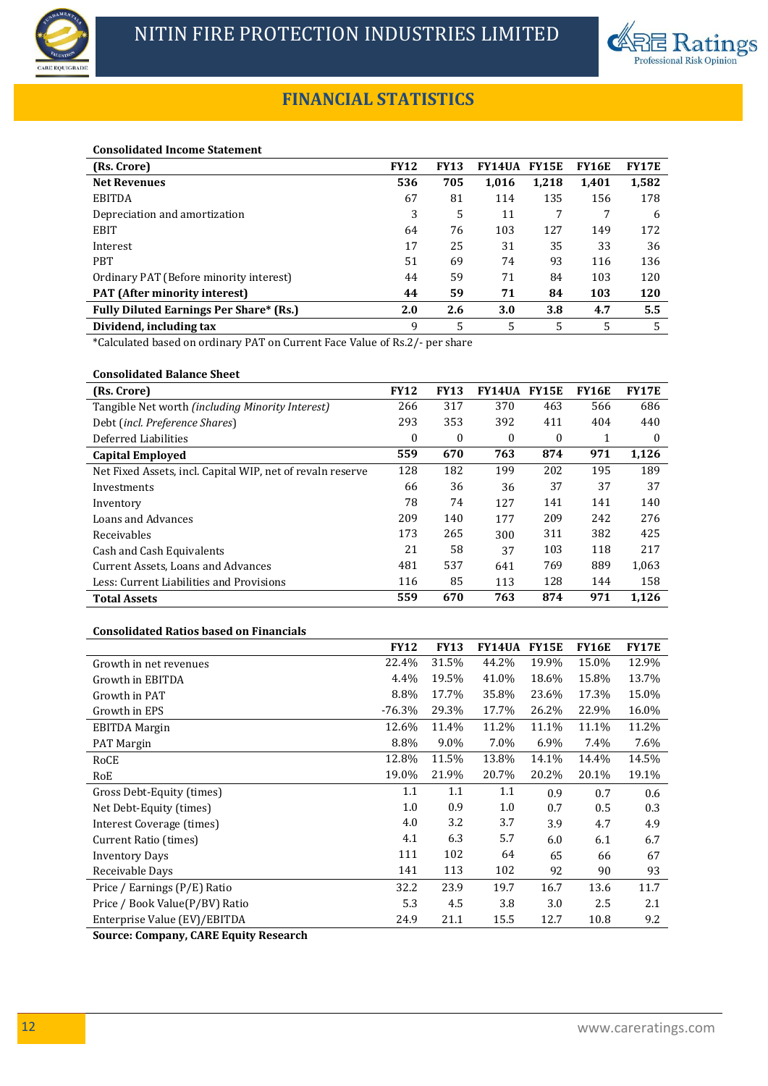



# **FINANCIAL STATISTICS**

#### **Consolidated Income Statement**

| (Rs. Crore)                                    | <b>FY12</b> | <b>FY13</b> | <b>FY14UA</b> | <b>FY15E</b> | <b>FY16E</b> | <b>FY17E</b> |
|------------------------------------------------|-------------|-------------|---------------|--------------|--------------|--------------|
| <b>Net Revenues</b>                            | 536         | 705         | 1,016         | 1,218        | 1,401        | 1,582        |
| <b>EBITDA</b>                                  | 67          | 81          | 114           | 135          | 156          | 178          |
| Depreciation and amortization                  | 3           | 5           | 11            | 7            |              | 6            |
| <b>EBIT</b>                                    | 64          | 76          | 103           | 127          | 149          | 172          |
| Interest                                       | 17          | 25          | 31            | 35           | 33           | 36           |
| <b>PBT</b>                                     | 51          | 69          | 74            | 93           | 116          | 136          |
| Ordinary PAT (Before minority interest)        | 44          | 59          | 71            | 84           | 103          | 120          |
| <b>PAT</b> (After minority interest)           | 44          | 59          | 71            | 84           | 103          | 120          |
| <b>Fully Diluted Earnings Per Share* (Rs.)</b> | 2.0         | 2.6         | 3.0           | 3.8          | 4.7          | 5.5          |
| Dividend, including tax                        | 9           | 5           | 5             | 5            | 5            | 5            |

\*Calculated based on ordinary PAT on Current Face Value of Rs.2/- per share

## **Consolidated Balance Sheet**

| (Rs. Crore)                                                | <b>FY12</b> | <b>FY13</b>  | <b>FY14UA</b> | <b>FY15E</b> | <b>FY16E</b> | <b>FY17E</b> |
|------------------------------------------------------------|-------------|--------------|---------------|--------------|--------------|--------------|
| Tangible Net worth <i>(including Minority Interest)</i>    | 266         | 317          | 370           | 463          | 566          | 686          |
| Debt (incl. Preference Shares)                             | 293         | 353          | 392           | 411          | 404          | 440          |
| Deferred Liabilities                                       | 0           | $\mathbf{0}$ | 0             | $\theta$     |              | $\Omega$     |
| <b>Capital Employed</b>                                    | 559         | 670          | 763           | 874          | 971          | 1,126        |
| Net Fixed Assets, incl. Capital WIP, net of revaln reserve | 128         | 182          | 199           | 202          | 195          | 189          |
| Investments                                                | 66          | 36           | 36            | 37           | 37           | 37           |
| Inventory                                                  | 78          | 74           | 127           | 141          | 141          | 140          |
| Loans and Advances                                         | 209         | 140          | 177           | 209          | 242          | 276          |
| Receivables                                                | 173         | 265          | 300           | 311          | 382          | 425          |
| Cash and Cash Equivalents                                  | 21          | 58           | 37            | 103          | 118          | 217          |
| Current Assets, Loans and Advances                         | 481         | 537          | 641           | 769          | 889          | 1,063        |
| Less: Current Liabilities and Provisions                   | 116         | 85           | 113           | 128          | 144          | 158          |
| <b>Total Assets</b>                                        | 559         | 670          | 763           | 874          | 971          | 1,126        |

#### **Consolidated Ratios based on Financials**

|                                | <b>FY12</b> | <b>FY13</b> | FY14UA  | <b>FY15E</b> | <b>FY16E</b> | <b>FY17E</b> |
|--------------------------------|-------------|-------------|---------|--------------|--------------|--------------|
| Growth in net revenues         | 22.4%       | 31.5%       | 44.2%   | 19.9%        | 15.0%        | 12.9%        |
| Growth in EBITDA               | 4.4%        | 19.5%       | 41.0%   | 18.6%        | 15.8%        | 13.7%        |
| Growth in PAT                  | 8.8%        | 17.7%       | 35.8%   | 23.6%        | 17.3%        | 15.0%        |
| Growth in EPS                  | $-76.3%$    | 29.3%       | 17.7%   | 26.2%        | 22.9%        | 16.0%        |
| <b>EBITDA</b> Margin           | 12.6%       | 11.4%       | 11.2%   | 11.1%        | 11.1%        | 11.2%        |
| <b>PAT Margin</b>              | 8.8%        | 9.0%        | 7.0%    | 6.9%         | 7.4%         | 7.6%         |
| RoCE                           | 12.8%       | 11.5%       | 13.8%   | 14.1%        | 14.4%        | 14.5%        |
| RoE                            | 19.0%       | 21.9%       | 20.7%   | 20.2%        | 20.1%        | 19.1%        |
| Gross Debt-Equity (times)      | 1.1         | 1.1         | $1.1\,$ | 0.9          | 0.7          | 0.6          |
| Net Debt-Equity (times)        | 1.0         | 0.9         | $1.0\,$ | 0.7          | 0.5          | 0.3          |
| Interest Coverage (times)      | 4.0         | 3.2         | 3.7     | 3.9          | 4.7          | 4.9          |
| Current Ratio (times)          | 4.1         | 6.3         | 5.7     | 6.0          | 6.1          | 6.7          |
| <b>Inventory Days</b>          | 111         | 102         | 64      | 65           | 66           | 67           |
| Receivable Days                | 141         | 113         | 102     | 92           | 90           | 93           |
| Price / Earnings (P/E) Ratio   | 32.2        | 23.9        | 19.7    | 16.7         | 13.6         | 11.7         |
| Price / Book Value(P/BV) Ratio | 5.3         | 4.5         | 3.8     | 3.0          | 2.5          | 2.1          |
| Enterprise Value (EV)/EBITDA   | 24.9        | 21.1        | 15.5    | 12.7         | 10.8         | 9.2          |

**Source: Company, CARE Equity Research**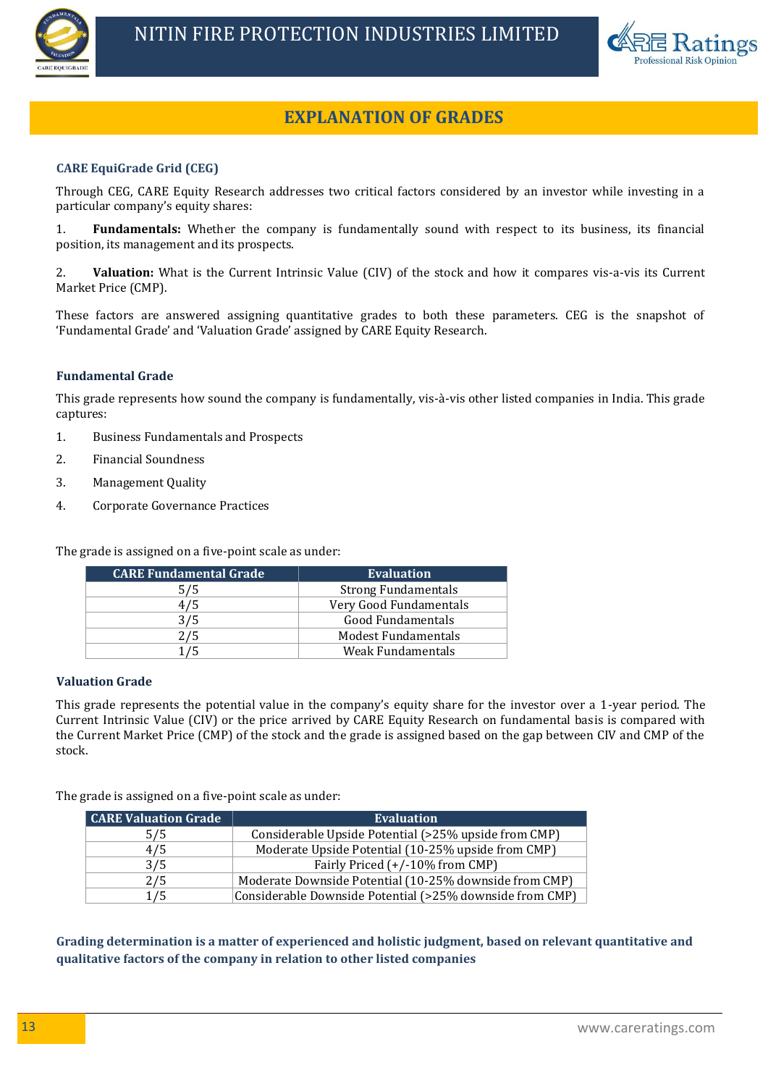



# **EXPLANATION OF GRADES EXPLANATION OF GRADES**

## **CARE EquiGrade Grid (CEG)**

Through CEG, CARE Equity Research addresses two critical factors considered by an investor while investing in a particular company's equity shares:

1. **Fundamentals:** Whether the company is fundamentally sound with respect to its business, its financial position, its management and its prospects.

2. **Valuation:** What is the Current Intrinsic Value (CIV) of the stock and how it compares vis-a-vis its Current Market Price (CMP).

These factors are answered assigning quantitative grades to both these parameters. CEG is the snapshot of 'Fundamental Grade' and 'Valuation Grade' assigned by CARE Equity Research.

#### **Fundamental Grade**

This grade represents how sound the company is fundamentally, vis-à-vis other listed companies in India. This grade captures:

- 1. Business Fundamentals and Prospects
- 2. Financial Soundness
- 3. Management Quality
- 4. Corporate Governance Practices

The grade is assigned on a five-point scale as under:

| <b>CARE Fundamental Grade</b> | <b>Evaluation</b>          |
|-------------------------------|----------------------------|
| 5/5                           | <b>Strong Fundamentals</b> |
| 4/5                           | Very Good Fundamentals     |
| 3/5                           | Good Fundamentals          |
| 2/5                           | Modest Fundamentals        |
| 1/5                           | Weak Fundamentals          |

#### **Valuation Grade**

This grade represents the potential value in the company's equity share for the investor over a 1-year period. The Current Intrinsic Value (CIV) or the price arrived by CARE Equity Research on fundamental basis is compared with the Current Market Price (CMP) of the stock and the grade is assigned based on the gap between CIV and CMP of the stock.

The grade is assigned on a five-point scale as under:

| <b>CARE Valuation Grade</b> | <b>Evaluation</b>                                        |
|-----------------------------|----------------------------------------------------------|
| 5/5                         | Considerable Upside Potential (>25% upside from CMP)     |
| 4/5                         | Moderate Upside Potential (10-25% upside from CMP)       |
| 3/5                         | Fairly Priced (+/-10% from CMP)                          |
| 2/5                         | Moderate Downside Potential (10-25% downside from CMP)   |
| 1/5                         | Considerable Downside Potential (>25% downside from CMP) |

**Grading determination is a matter of experienced and holistic judgment, based on relevant quantitative and qualitative factors of the company in relation to other listed companies**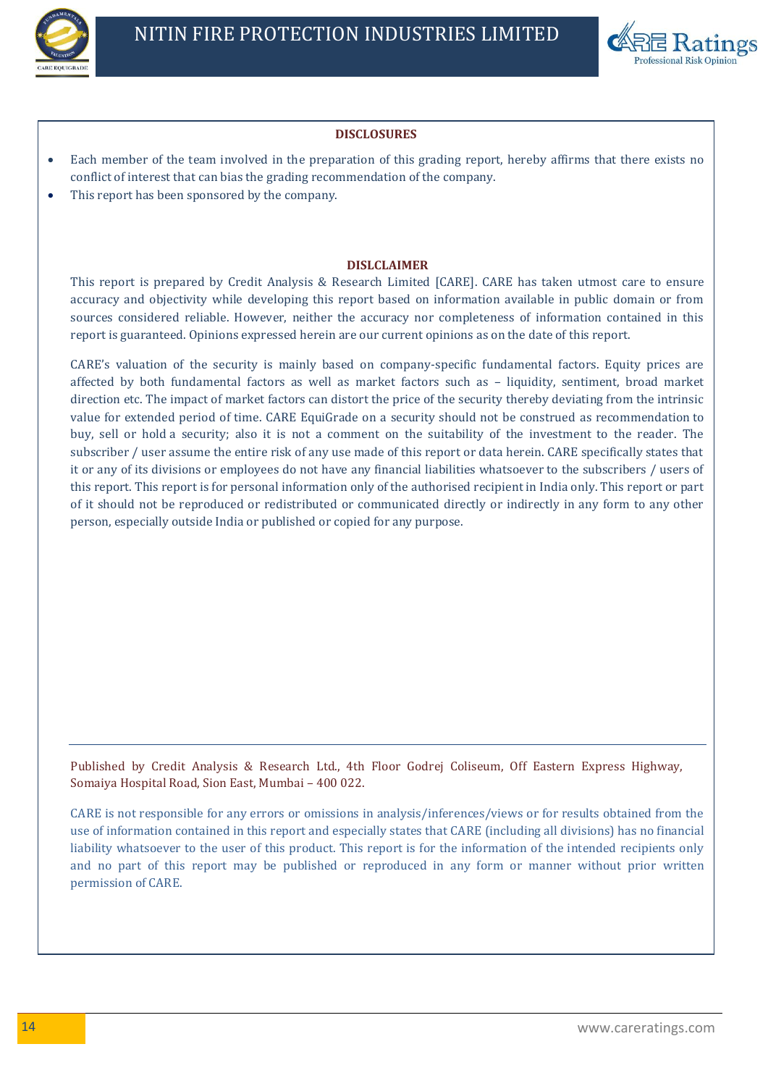



#### **DISCLOSURES**

- Each member of the team involved in the preparation of this grading report, hereby affirms that there exists no conflict of interest that can bias the grading recommendation of the company.
- This report has been sponsored by the company.

#### **DISLCLAIMER**

This report is prepared by Credit Analysis & Research Limited [CARE]. CARE has taken utmost care to ensure accuracy and objectivity while developing this report based on information available in public domain or from sources considered reliable. However, neither the accuracy nor completeness of information contained in this report is guaranteed. Opinions expressed herein are our current opinions as on the date of this report.

CARE's valuation of the security is mainly based on company-specific fundamental factors. Equity prices are affected by both fundamental factors as well as market factors such as – liquidity, sentiment, broad market direction etc. The impact of market factors can distort the price of the security thereby deviating from the intrinsic value for extended period of time. CARE EquiGrade on a security should not be construed as recommendation to buy, sell or hold a security; also it is not a comment on the suitability of the investment to the reader. The subscriber / user assume the entire risk of any use made of this report or data herein. CARE specifically states that it or any of its divisions or employees do not have any financial liabilities whatsoever to the subscribers / users of this report. This report is for personal information only of the authorised recipient in India only. This report or part of it should not be reproduced or redistributed or communicated directly or indirectly in any form to any other person, especially outside India or published or copied for any purpose.

Published by Credit Analysis & Research Ltd., 4th Floor Godrej Coliseum, Off Eastern Express Highway, Somaiya Hospital Road, Sion East, Mumbai – 400 022.

CARE is not responsible for any errors or omissions in analysis/inferences/views or for results obtained from the use of information contained in this report and especially states that CARE (including all divisions) has no financial liability whatsoever to the user of this product. This report is for the information of the intended recipients only and no part of this report may be published or reproduced in any form or manner without prior written permission of CARE.